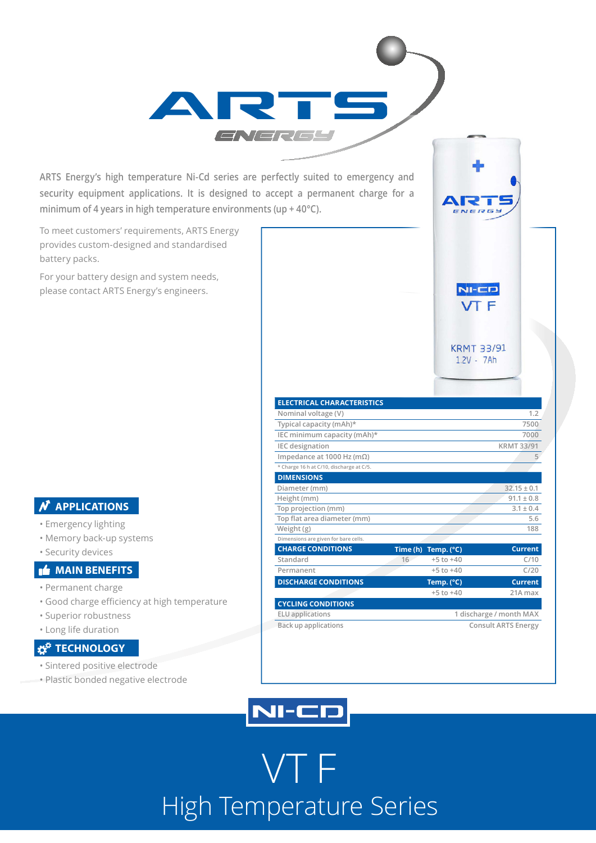**ARTS Energy's high temperature Ni-Cd series are perfectly suited to emergency and security equipment applications. It is designed to accept a permanent charge for a minimum of 4 years in high temperature environments (up + 40°C).**

ART

To meet customers' requirements, ARTS Energy provides custom-designed and standardised battery packs.

For your battery design and system needs, please contact ARTS Energy's engineers.

#### **N** APPLICATIONS

- Emergency lighting
- Memory back-up systems
- Security devices

#### **MAIN BENEFITS**

- Permanent charge
- Good charge efficiency at high temperature
- Superior robustness
- Long life duration

#### **TECHNOLOGY**

- Sintered positive electrode
- Plastic bonded negative electrode

| <b>ELECTRICAL CHARACTERISTICS</b>        |                            |                              |                   |
|------------------------------------------|----------------------------|------------------------------|-------------------|
| Nominal voltage (V)                      |                            |                              | 1.2               |
| Typical capacity (mAh)*                  |                            |                              | 7500              |
| IEC minimum capacity (mAh)*              |                            |                              | 7000              |
| <b>IEC</b> designation                   |                            |                              | <b>KRMT 33/91</b> |
| Impedance at 1000 Hz (m $\Omega$ )       |                            |                              | 5                 |
| * Charge 16 h at C/10, discharge at C/5. |                            |                              |                   |
| <b>DIMENSIONS</b>                        |                            |                              |                   |
| Diameter (mm)                            |                            |                              | $32.15 \pm 0.1$   |
| Height (mm)                              |                            |                              | $91.1 \pm 0.8$    |
| Top projection (mm)                      |                            |                              | $3.1 \pm 0.4$     |
| Top flat area diameter (mm)              |                            |                              | 5.6               |
| Weight $(g)$                             |                            |                              | 188               |
| Dimensions are given for bare cells.     |                            |                              |                   |
| <b>CHARGE CONDITIONS</b>                 |                            | Time (h) Temp. $(^{\circ}C)$ | <b>Current</b>    |
| Standard                                 | 16                         | $+5$ to $+40$                | C/10              |
| Permanent                                |                            | $+5$ to $+40$                | C/20              |
| <b>DISCHARGE CONDITIONS</b>              |                            | Temp. (°C)                   | <b>Current</b>    |
|                                          |                            | $+5$ to $+40$                | 21A max           |
| <b>CYCLING CONDITIONS</b>                |                            |                              |                   |
| <b>ELU</b> applications                  | 1 discharge / month MAX    |                              |                   |
| <b>Back up applications</b>              | <b>Consult ARTS Energy</b> |                              |                   |

A I J

 $NI-CD$ **VT F** 

**KRMT 33/91**  $1.2V - 7Ah$